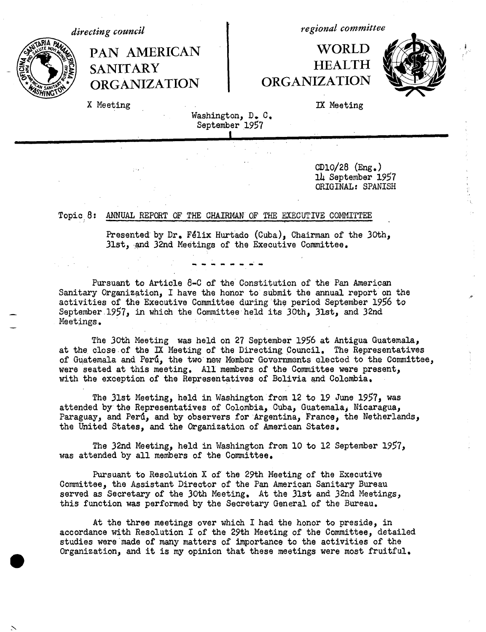**~ftINGf ORGANIZATION** ORGANIZATION

*regional committee directing council*

# **PAN AMERICAN WORLD**<br> **PANITARY** HEALTH | FRANITARY HEALTH<br>| ORGANIZATION ORGANIZATION



X Meeting IX Meeting

Washington, D. C. September 1957

> CD10/28 (Eng.) 14 September 1957 ORIGINAL: SPANISH

# Topic 8: ANNUAL REPORT OF THE CHAIRMAN OF THE EXECUTIVE COMMITTEE

Presented by Dr. Félix Hurtado (Cuba), Chairman of the 30th, 31st, and 32nd Meetings of the Executive Committee.

Pursuant to Article 8-C of the Constitution of the Pan American Sanitary Organization, I have the honor to submit the annual report on the activities of the Executive Committee during the period September 1956 to September 1957, in which the Committee held its 30th, 31st, and 32nd Meetings.

The 30th Meeting was held on 27 September 1956 at Antigua Guatemala, at the close of the IX Meeting of the Directing Council. The Representatives of Guatemala and Perd, the two new Member Governments elected to the Committee, were seated at this meeting, All members of the Committee were present, with the exception of the Representatives of Bolivia and Colombia.

The 31st Meeting, held in Washington from 12 to 19 June 1957, was attended by the Representatives of Colombia, Cuba, Guatemalaj Nicaragua, Paraguay, and Perú, and by observers for Argentina, France, the Netherlands, the United States, and the Organization of American States.

The 32nd Meeting, held in Washington from 10 to 12 September 1957, was attended by all members of the Committee.

Pursuant to Resolution X of the 29th Meeting of the Executive Committee, the Assistant Director of the Pan American Sanitary Bureau served as Secretary of the 30th Meeting. At the 31st and 32nd Meetings, this function was performed by the Secretary General of the Bureau.

At the three meetings over which I had the honor to preside, in accordance with Resolution I of the 29th Meeting of the Committee, detailed studies were made of many matters of importance to the activities of the Organization, and it is my opinion that these meetings were most fruitful,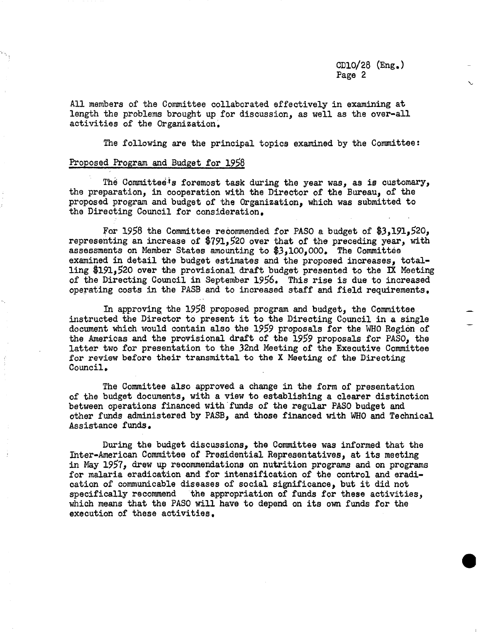**0**

All members of the Committee collaborated effectively in examining at length the problems brought up for discussion, as well as the over-all activities of the Organization.

The following are the principal topics examined by the Committee:

## Proposed Program and Budget for 1958

The Committee's foremost task during the year was, as is customary, the preparation, in cooperation with the Director of the Bureau, of the proposed program and budget of the Organization, which was submitted to the Directing Council for consideration.

For 1958 the Committee recommended for PASO a budget of \$3,191,520, representing an increase of \$791,520 over that of the preceding year, with assessments on Member States amounting to \$3,100,000. The Committee examined in detail the budget estimates and the proposed increases, totalling \$191,520 over the provisional draft budget presented to the IX Meeting of the Directing Council in September 1956. This rise is due to increased operating costs in the PASB and to increased staff and field requirements.

In approving the 1958 proposed program and budget, the Committee instructed the Director to present it to the Directing Council in a single document which would contain also the 1959 proposals for the WHO Region of the Americas and the provisional draft of the 1959 proposals for PASO, the latter two for presentation to the 32nd Meeting of the Executive Committee for review before their transmittal to the X Meeting of the Directing Council.

The Committee also approved a change in the form of presentation of the budget documents, with a view to establishing a clearer distinction between operations financed with funds of the regular PASO budget and other funds administered by PASB, and those financed with WHO and Technical Assistance funds.

During the budget discussions, the Committee was informed that the Inter-American Committee of Presidential Representatives, at its meeting in May 1957, drew up recommendations on nutrition programs and on programs for malaria eradication and for intensification of the control and eradication of communicable diseases of social significance, but it did not specifically recommend the appropriation of funds for these activities, which means that the PASO will have to depend on its own funds for the execution of these activities.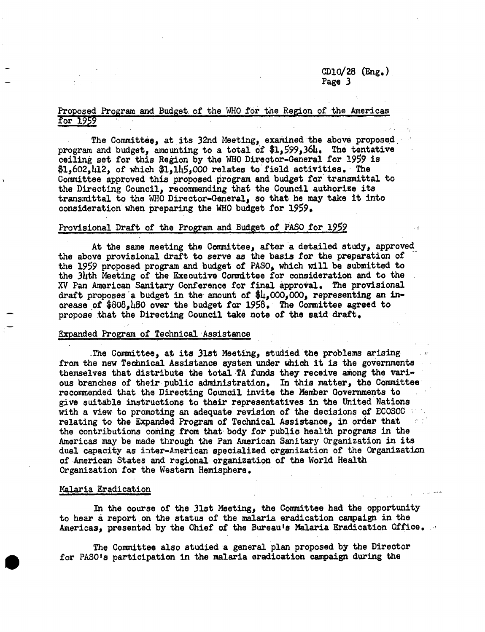# CD10/28 (Eng.) Page 3

# Proposed Program and Budget of the WHO for the Region of the Americas for 1959

The Committee, at its 32nd Meeting, examined the above proposed program and budget, amounting to a total of \$1,599,364, The tentative ceiling set for this Region by the WHO Direotor-General for 1959 is  $$1,602,112,$  of which  $$1,115,000$  relates to field activities. The Committee approved this proposed program and budget for transmittal to the Directing Council, recommending that the Council authorize its transmittal to the WHO Director-General, so that he may take it into consideration when preparing the WHO budget for 1959.

### Provisional Draft of the Program and Budget of PASO for 1959

At the same meeting the Committee, after a detailed study, approved the above provisional draft to serve as the basis for the preparation of the 1959 proposed program and budget of PASO, which will be submitted to the 34th Meeting of the Executive Committee for consideration and to the XV Pan American Sanitary Conference for final approval. The provisional draft proposes a budget in the amount of  $\frac{1}{2}L$ ,000,000, representing an increase of  $$808,180$  over the budget for  $1958$ . The Committee agreed to propose that the Directing Council take note of the said draft.

### Expanded Program of Technical Assistance

The Committee, at its 31st Meeting, studied the problems arising from the new Technical Assistance system under which it is the governments themselves that distribute the total TA funds they receive among the various branches of their public administration. In this matter, the Committee recommended that the Directing Council invite the Member Governments to give suitable instructions to their representatives in the United Nations with a view to promoting an adequate revision of the decisions of ECOSOC relating to the Expanded Program of Technical Assistance, in order that the contributions coming from that body for public health programs in the Americas may be made through the Pan American Sanitary Organization in its dual capacity as inter-American specialized organization of the Organization of American States and regional organization of the World Health Organization for the Western Hemisphere.

## Malaria Eradication

In the course of the 31st Meeting, the Committee had the opportunity to hear a report on the status of the malaria eradication campaign in the Americas, presented by the Chief of the Bureau's Malaria Eradication Office.

The Committee also studied a general plan proposed by the Director for PASO's participation in the malaria eradication campaign during the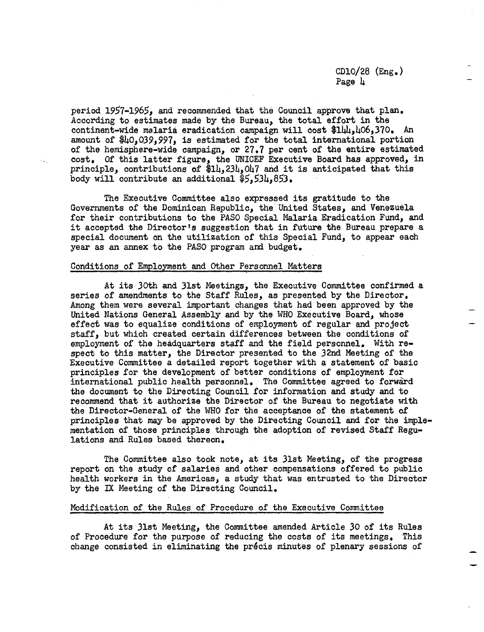# CD10/28 (Eng.) Page 4

period 1957-1965, and recommended that the Council approve that plan. According to estimates made by the Bureau, the total effort in the continent-wide malaria eradication campaign will cost \$1 $\mu$ 4.406.370. An amount of \$40,039,997, is estimated for the total international portion of the hemisphere-wide campaign, or 27.7 per cent of the entire estimated cost. Of this latter figure, the UNICEF Executive Board has approved, in principle, contributions of  $$14,234,047$  and it is anticipated that this body will contribute an additional  $$5,534,853$ .

The Executive Committee also expressed its gratitude to the Governments of the Dominican Republic, the' United States, and Venezuela for their contributions to the PASO Special Malaria Eradication Fund, and it accepted the Director's suggestion that in future the Bureau prepare a special document on the utilization of this Special Fund, to appear each year as an annex to the PASO program and budget.

## Conditions of Employment and Other Personnel Matters

At its 30th and 31st Meetings, the Executive Committee confirmed a series of amendments to the Staff Rules, as presented by the Director. Among them were several important changes that had been approved by the United Nations General Assembly and by the WHO Executive Board, whose effect was to equalize conditions of employment of regular and project staff, but which created certain differences between the conditions of employment of the headquarters staff and the field personnel. With respect to this matter, the Director presented to the 32nd Meeting of the Executive Committee a detailed report together with a statement of basic principles for the development of better conditions of employment for international public health personnel. The Committee agreed to forward the document to the Directing Council for information and study and to recommend that it authorize the Director of the Bureau to negotiate with the Director-General of the WHO for the acceptance of the statement of principles that may be approved by the Directing Council and for the implementation of those principles through the adoption of revised Staff Regulations and Rules based thereon.

The Committee also took note, at its 31st Meeting, of the progress report on the study of salaries and other compensations offered to public health workers in the Americas, a study that was entrusted to the Director by the IX Meeting of the Directing Council.

#### Modification of the Rules of Procedure of the Executive Committee

At its 31st Meeting, the Committee amended Article 30 of its Rules of Procedure for the purpose of reducing the costs of its meetings. This change consisted in eliminating the précis minutes of plenary sessions of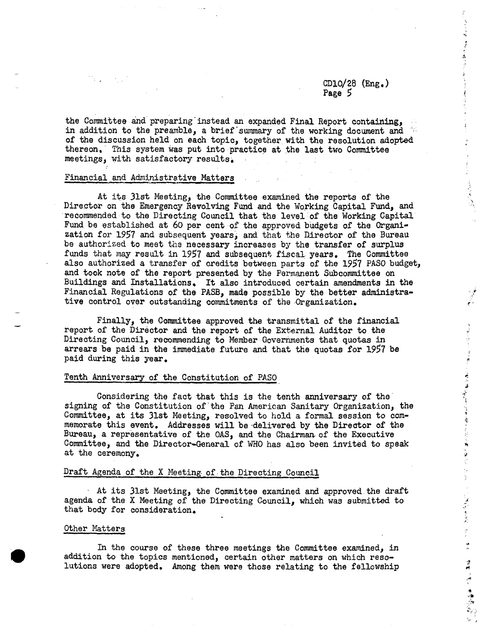# CD10/28 (Eng.) Page 5

さいぎりびょう ほっぱく かいせん 道がれない こうきりゅう えいかいち 海 かりのかい アープ・パンプ かくかい アルト サイト・ 博興 ついばん 意識(論) (の)いちがく

the Committee and preparing'instead an expanded Final Report containing, in addition to the preamble, a brief'summary of the working document and ' of the discussion held on each topic, together with the resolution adopted thereon, This system was put into practice at the last two Committee meetings, with satisfactory results,

## Financial and Administrative Matters

At its 31st Meeting, the Committee examined the reports of the Director on the Emergency Revolving Fund and the Working Capital Fund, and recommended to the Directing Council that the level of the Working Capital Fund be established at 60 per cent of the approved budgets of the Organization for 1957 and subsequent years, and that the Director of the Bureau be authorized to meet the necessary increases by the transfer of surplus funds that may result in 1957 and subsequent fiscal years. The Committee also authorized a transfer of credits between parts of the 1957 PASO budget, and took note of the report presented by the Permanent Subcommittee on Buildings and Installations, It also introduced certain amendments in the Financial Regulations of the PASB, made possible by the better administrative control over outstanding commitments of the Organization.

Finally, the Committee approved the transmittal of the financial report of the Director and the report of the External Auditor to the Directing Council, recommending to Member Governments that quotas in arrears be paid in the immediate future and that the quotas for 1957 be paid during this year.

#### Tenth Anniversary of the Constitution of PASO

Considering the fact that this is the tenth anniversary of the signing of the Constitution of'the Pan American Sanitary Organization, the Committee, at its 31st Meeting, resolved to hold a formal session to commemorate this event. Addresses will be delivered by the Director of the Bureau, a representative of the OAS, and the Chairman of the Executive Committee, and the Director-General of WHO has also been invited to speak at the ceremony,

## Draft Agenda of the X Meeting. of the Directing Council

At its 31st Meeting, the Committee examined and approved the draft agenda of the X Meeting of the Directing Council, which was submitted to that body for consideration.

#### Other Matters

In the course of these three meetings the Committee examined, in addition to the topics mentioned, certain other matters on which resolutions were adopted. Among them were those relating to the fellowship